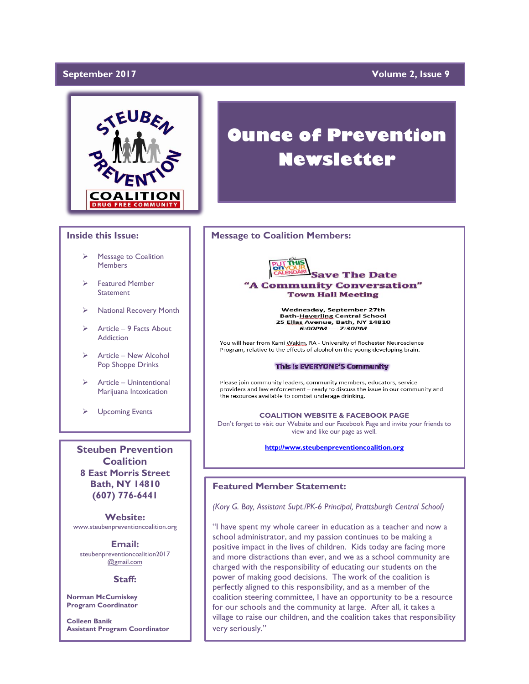# apriFebruary **September 2017 Volume 2, Issue 9**



#### **Inside this Issue:**

- Message to Coalition **Members**
- ➢ Featured Member **Statement**
- ➢ National Recovery Month
- $\triangleright$  Article 9 Facts About Addiction
- ➢ Article New Alcohol Pop Shoppe Drinks
- ➢ Article Unintentional Marijuana Intoxication
- ➢ Upcoming Events

**Steuben Prevention Coalition 8 East Morris Street Bath, NY 14810 (607) 776-6441**

**Website:**  www.steubenpreventioncoalition.org

**Email:**  steubenpreventioncoalition2017 @gmail.com

#### **Staff:**

**Norman McCumiskey Program Coordinator**

**Colleen Banik Assistant Program Coordinator**

# **Ounce of Prevention Newsletter**

#### **Message to Coalition Members:**



Wednesday, September 27th Bath-Haverling Central School<br>25 Ellas Avenue, Bath, NY 14810 6:00PM - 7:30PM

You will hear from Kami Wakim, RA - University of Rochester Neuroscience Program, relative to the effects of alcohol on the young developing brain.

#### This is EVERYONE'S Community

Please join community leaders, community members, educators, service providers and law enforcement - ready to discuss the issue in our community and the resources available to combat underage drinking.

**COALITION WEBSITE & FACEBOOK PAGE**

Don't forget to visit our Website and our Facebook Page and invite your friends to view and like our page as well.

**[http://www.steubenpreventioncoalition.org](http://www.steubenpreventioncoalition.org/)**

### **Featured Member Statement:**

*(Kory G. Bay, Assistant Supt./PK-6 Principal, Prattsburgh Central School)*

"I have spent my whole career in education as a teacher and now a school administrator, and my passion continues to be making a positive impact in the lives of children. Kids today are facing more and more distractions than ever, and we as a school community are charged with the responsibility of educating our students on the power of making good decisions. The work of the coalition is perfectly aligned to this responsibility, and as a member of the coalition steering committee, I have an opportunity to be a resource for our schools and the community at large. After all, it takes a village to raise our children, and the coalition takes that responsibility very seriously."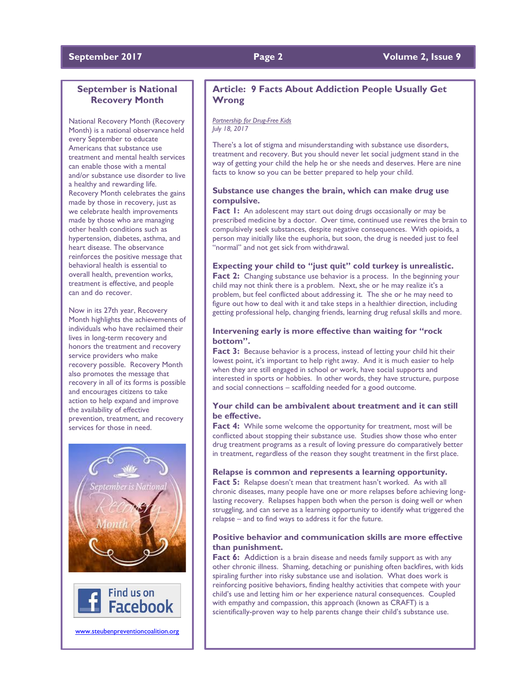#### **September 2017 Page 2 Page 2 Page 2 Volume 2, Issue 9**

### **September is National Recovery Month**

National Recovery Month (Recovery Month) is a national observance held every September to educate Americans that substance use treatment and mental health services can enable those with a mental and/or substance use disorder to live a healthy and rewarding life. Recovery Month celebrates the gains made by those in recovery, just as we celebrate health improvements made by those who are managing other health conditions such as hypertension, diabetes, asthma, and heart disease. The observance reinforces the positive message that behavioral health is essential to overall health, prevention works, treatment is effective, and people can and do recover.

Now in its 27th year, Recovery Month highlights the achievements of individuals who have reclaimed their lives in long-term recovery and honors the treatment and recovery service providers who make recovery possible. Recovery Month also promotes the message that recovery in all of its forms is possible and encourages citizens to take action to help expand and improve the availability of effective prevention, treatment, and recovery services for those in need.





[www.steubenpreventioncoalition.org](http://www.steubenpreventioncoalition.org/)

### **Article: 9 Facts About Addiction People Usually Get Wrong**

#### *Partnership for Drug-Free Kids July 18, 2017*

There's a lot of stigma and misunderstanding with substance use disorders, treatment and recovery. But you should never let social judgment stand in the way of getting your child the help he or she needs and deserves. Here are nine facts to know so you can be better prepared to help your child.

#### **Substance use changes the brain, which can make drug use compulsive.**

Fact 1: An adolescent may start out doing drugs occasionally or may be prescribed medicine by a doctor. Over time, continued use rewires the brain to compulsively seek substances, despite negative consequences. With opioids, a person may initially like the euphoria, but soon, the drug is needed just to feel "normal" and not get sick from withdrawal.

#### **Expecting your child to "just quit" cold turkey is unrealistic.**

**Fact 2:** Changing substance use behavior is a process. In the beginning your child may not think there is a problem. Next, she or he may realize it's a problem, but feel conflicted about addressing it. The she or he may need to figure out how to deal with it and take steps in a healthier direction, including getting professional help, changing friends, learning drug refusal skills and more.

#### **Intervening early is more effective than waiting for "rock bottom".**

**Fact 3:** Because behavior is a process, instead of letting your child hit their lowest point, it's important to help right away. And it is much easier to help when they are still engaged in school or work, have social supports and interested in sports or hobbies. In other words, they have structure, purpose and social connections – scaffolding needed for a good outcome.

#### **Your child can be ambivalent about treatment and it can still be effective.**

Fact 4: While some welcome the opportunity for treatment, most will be conflicted about stopping their substance use. Studies show those who enter drug treatment programs as a result of loving pressure do comparatively better in treatment, regardless of the reason they sought treatment in the first place.

#### **Relapse is common and represents a learning opportunity.**

Fact 5: Relapse doesn't mean that treatment hasn't worked. As with all chronic diseases, many people have one or more relapses before achieving longlasting recovery. Relapses happen both when the person is doing well or when struggling, and can serve as a learning opportunity to identify what triggered the relapse – and to find ways to address it for the future.

#### **Positive behavior and communication skills are more effective than punishment.**

**Fact 6:** Addiction is a brain disease and needs family support as with any other chronic illness. Shaming, detaching or punishing often backfires, with kids spiraling further into risky substance use and isolation. What does work is reinforcing positive behaviors, finding healthy activities that compete with your child's use and letting him or her experience natural consequences. Coupled with empathy and compassion, this approach (known as CRAFT) is a scientifically-proven way to help parents change their child's substance use.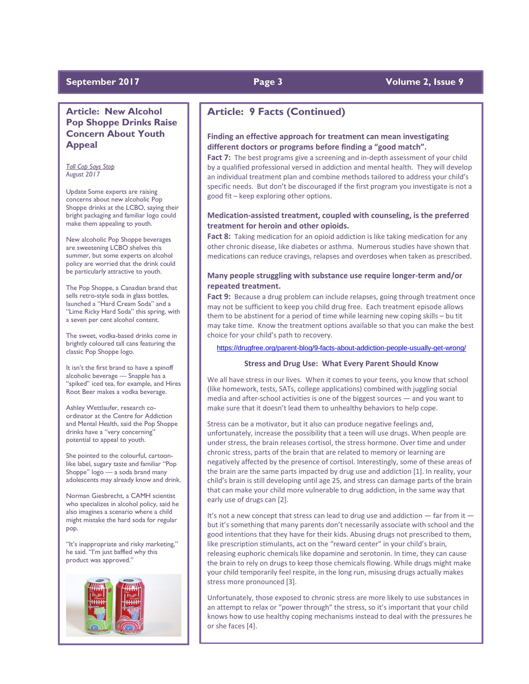### **Article: New Alcohol Pop Shoppe Drinks Raise Concern About Youth Appeal**

*Tall Cop Says Stop August 2017* 

Update Some experts are raising concerns about new alcoholic Pop Shoppe drinks at the LCBO, saying their bright packaging and familiar logo could make them appealing to youth.

New alcoholic Pop Shoppe beverages are sweetening LCBO shelves this summer, but some experts on alcohol policy are worried that the drink could be particularly attractive to youth.

The Pop Shoppe, a Canadian brand that sells retro-style soda in glass bottles, launched a "Hard Cream Soda" and a "Lime Ricky Hard Soda" this spring, with a seven per cent alcohol content.

The sweet, vodka-based drinks come in brightly coloured tall cans featuring the classic Pop Shoppe logo.

It isn't the first brand to have a spinoff alcoholic beverage — Snapple has a "spiked" iced tea, for example, and Hires Root Beer makes a vodka beverage.

Ashley Wettlaufer, research coordinator at the Centre for Addiction and Mental Health, said the Pop Shoppe drinks have a "very concerning" potential to appeal to youth.

She pointed to the colourful, cartoonlike label, sugary taste and familiar "Pop Shoppe" logo — a soda brand many adolescents may already know and drink.

Norman Giesbrecht, a CAMH scientist who specializes in alcohol policy, said he also imagines a scenario where a child might mistake the hard soda for regular pop.

"It's inappropriate and risky marketing," he said. "I'm just baffled why this product was approved."



## **Article: 9 Facts (Continued)**

#### **Finding an effective approach for treatment can mean investigating different doctors or programs before finding a "good match".**

**Fact 7:** The best programs give a screening and in-depth assessment of your child by a qualified professional versed in addiction and mental health. They will develop an individual treatment plan and combine methods tailored to address your child's specific needs. But don't be discouraged if the first program you investigate is not a good fit – keep exploring other options.

#### **Medication-assisted treatment, coupled with counseling, is the preferred treatment for heroin and other opioids.**

Fact 8: Taking medication for an opioid addiction is like taking medication for any other chronic disease, like diabetes or asthma. Numerous studies have shown that medications can reduce cravings, relapses and overdoses when taken as prescribed.

#### **Many people struggling with substance use require longer-term and/or repeated treatment.**

**Fact 9:** Because a drug problem can include relapses, going through treatment once may not be sufficient to keep you child drug free. Each treatment episode allows them to be abstinent for a period of time while learning new coping skills – bu tit may take time. Know the treatment options available so that you can make the best choice for your child's path to recovery.

<https://drugfree.org/parent-blog/9-facts-about-addiction-people-usually-get-wrong/>

#### **Stress and Drug Use: What Every Parent Should Know**

We all have stress in our lives. When it comes to your teens, you know that school (like homework, tests, SATs, college applications) combined with juggling social media and after-school activities is one of the biggest sources — and you want to make sure that it doesn't lead them to unhealthy behaviors to help cope.

Stress can be a motivator, but it also can produce negative feelings and, unfortunately, increase the possibility that a teen will use drugs. When people are under stress, the brain releases cortisol, the stress hormone. Over time and under chronic stress, parts of the brain that are related to memory or learning are negatively affected by the presence of cortisol. Interestingly, some of these areas of the brain are the same parts impacted by drug use and addiction [1]. In reality, your child's brain is still developing until age 25, and stress can damage parts of the brain that can make your child more vulnerable to drug addiction, in the same way that early use of drugs can [2].

It's not a new concept that stress can lead to drug use and addiction  $-$  far from it  $$ but it's something that many parents don't necessarily associate with school and the good intentions that they have for their kids. Abusing drugs not prescribed to them, like prescription stimulants, act on the "reward center" in your child's brain, releasing euphoric chemicals like dopamine and serotonin. In time, they can cause the brain to rely on drugs to keep those chemicals flowing. While drugs might make your child temporarily feel respite, in the long run, misusing drugs actually makes stress more pronounced [3].

Unfortunately, those exposed to chronic stress are more likely to use substances in an attempt to relax or "power through" the stress, so it's important that your child knows how to use healthy coping mechanisms instead to deal with the pressures he or she faces [4].